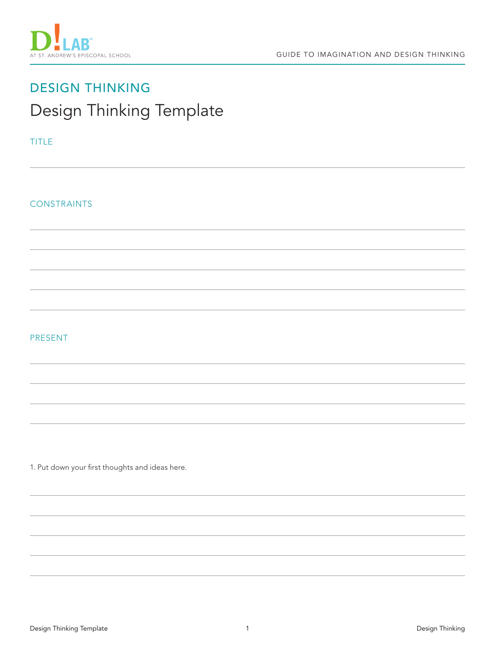

# DESIGN THINKING Design Thinking Template

### TITLE

CONSTRAINTS

## PRESENT

1. Put down your first thoughts and ideas here.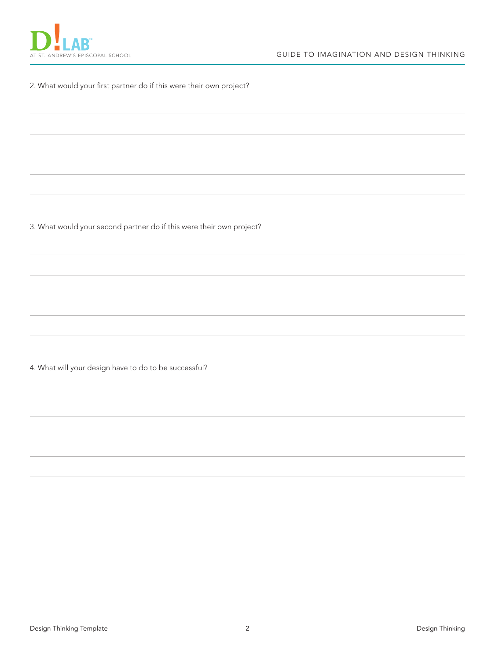

#### 2. What would your first partner do if this were their own project?

3. What would your second partner do if this were their own project?

4. What will your design have to do to be successful?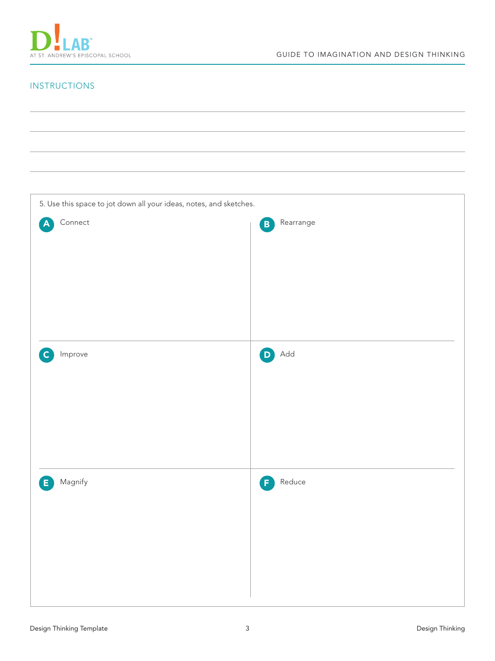

# INSTRUCTIONS

| 5. Use this space to jot down all your ideas, notes, and sketches. |                           |  |
|--------------------------------------------------------------------|---------------------------|--|
| $\label{eq:connect} \textsf{Connect}$<br>$\blacktriangle$          | Rearrange<br>$\mathbf{B}$ |  |
|                                                                    |                           |  |
|                                                                    |                           |  |
|                                                                    |                           |  |
|                                                                    |                           |  |
|                                                                    |                           |  |
| Improve<br>$\overline{c}$                                          | Add<br>$\bigcirc$         |  |
|                                                                    |                           |  |
|                                                                    |                           |  |
|                                                                    |                           |  |
|                                                                    |                           |  |
|                                                                    |                           |  |
|                                                                    |                           |  |
| <b>E</b> Magnify                                                   | <b>F</b> Reduce           |  |
|                                                                    |                           |  |
|                                                                    |                           |  |
|                                                                    |                           |  |
|                                                                    |                           |  |
|                                                                    |                           |  |
|                                                                    |                           |  |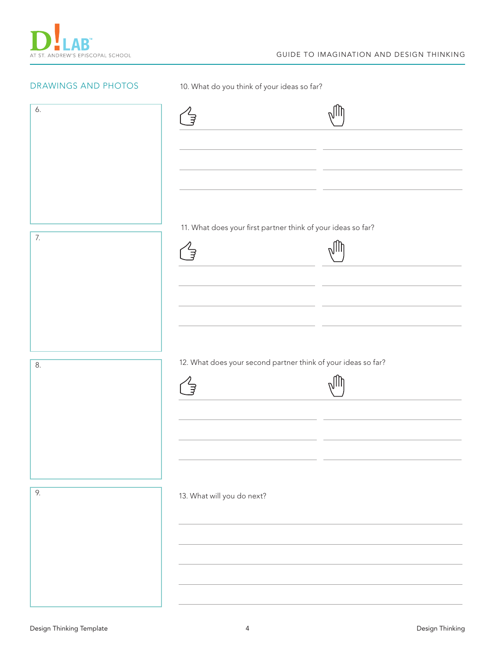| DRAWINGS AND PHOTOS | 10. What do you think of your ideas so far?                   |  |
|---------------------|---------------------------------------------------------------|--|
| 6.                  | Ĵ                                                             |  |
| 7.                  | 11. What does your first partner think of your ideas so far?  |  |
| 8.                  | 12. What does your second partner think of your ideas so far? |  |
| 9.                  | 13. What will you do next?                                    |  |
|                     |                                                               |  |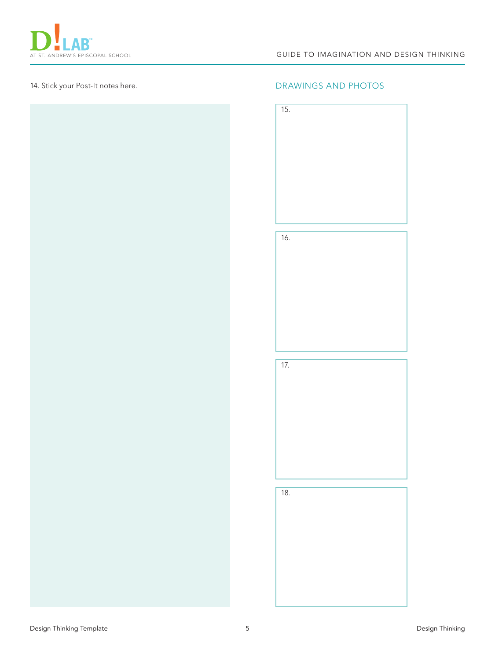









18.